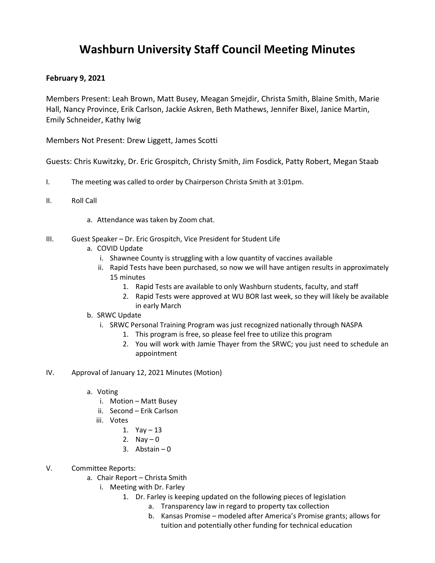## **Washburn University Staff Council Meeting Minutes**

## **February 9, 2021**

Members Present: Leah Brown, Matt Busey, Meagan Smejdir, Christa Smith, Blaine Smith, Marie Hall, Nancy Province, Erik Carlson, Jackie Askren, Beth Mathews, Jennifer Bixel, Janice Martin, Emily Schneider, Kathy Iwig

Members Not Present: Drew Liggett, James Scotti

Guests: Chris Kuwitzky, Dr. Eric Grospitch, Christy Smith, Jim Fosdick, Patty Robert, Megan Staab

- I. The meeting was called to order by Chairperson Christa Smith at 3:01pm.
- II. Roll Call
	- a. Attendance was taken by Zoom chat.
- III. Guest Speaker Dr. Eric Grospitch, Vice President for Student Life
	- a. COVID Update
		- i. Shawnee County is struggling with a low quantity of vaccines available
		- ii. Rapid Tests have been purchased, so now we will have antigen results in approximately 15 minutes
			- 1. Rapid Tests are available to only Washburn students, faculty, and staff
			- 2. Rapid Tests were approved at WU BOR last week, so they will likely be available in early March
	- b. SRWC Update
		- i. SRWC Personal Training Program was just recognized nationally through NASPA
			- 1. This program is free, so please feel free to utilize this program
			- 2. You will work with Jamie Thayer from the SRWC; you just need to schedule an appointment
- IV. Approval of January 12, 2021 Minutes (Motion)
	- a. Voting
		- i. Motion Matt Busey
		- ii. Second Erik Carlson
		- iii. Votes
			- 1. Yay 13
			- 2. Nav  $-0$
			- 3. Abstain  $-0$
- V. Committee Reports:
	- a. Chair Report Christa Smith
		- i. Meeting with Dr. Farley
			- 1. Dr. Farley is keeping updated on the following pieces of legislation
				- a. Transparency law in regard to property tax collection
				- b. Kansas Promise modeled after America's Promise grants; allows for tuition and potentially other funding for technical education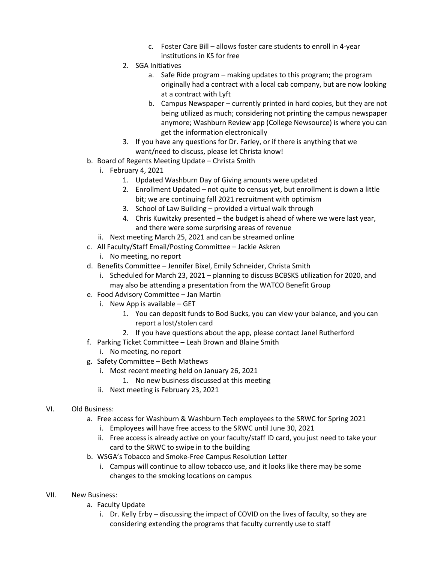- c. Foster Care Bill allows foster care students to enroll in 4-year institutions in KS for free
- 2. SGA Initiatives
	- a. Safe Ride program making updates to this program; the program originally had a contract with a local cab company, but are now looking at a contract with Lyft
	- b. Campus Newspaper currently printed in hard copies, but they are not being utilized as much; considering not printing the campus newspaper anymore; Washburn Review app (College Newsource) is where you can get the information electronically
- 3. If you have any questions for Dr. Farley, or if there is anything that we want/need to discuss, please let Christa know!
- b. Board of Regents Meeting Update Christa Smith
	- i. February 4, 2021
		- 1. Updated Washburn Day of Giving amounts were updated
		- 2. Enrollment Updated not quite to census yet, but enrollment is down a little bit; we are continuing fall 2021 recruitment with optimism
		- 3. School of Law Building provided a virtual walk through
		- 4. Chris Kuwitzky presented the budget is ahead of where we were last year, and there were some surprising areas of revenue
	- ii. Next meeting March 25, 2021 and can be streamed online
- c. All Faculty/Staff Email/Posting Committee Jackie Askren
	- i. No meeting, no report
- d. Benefits Committee Jennifer Bixel, Emily Schneider, Christa Smith
	- i. Scheduled for March 23, 2021 planning to discuss BCBSKS utilization for 2020, and may also be attending a presentation from the WATCO Benefit Group
- e. Food Advisory Committee Jan Martin
	- i. New App is available GET
		- 1. You can deposit funds to Bod Bucks, you can view your balance, and you can report a lost/stolen card
		- 2. If you have questions about the app, please contact Janel Rutherford
- f. Parking Ticket Committee Leah Brown and Blaine Smith
	- i. No meeting, no report
- g. Safety Committee Beth Mathews
	- i. Most recent meeting held on January 26, 2021
		- 1. No new business discussed at this meeting
	- ii. Next meeting is February 23, 2021
- VI. Old Business:
	- a. Free access for Washburn & Washburn Tech employees to the SRWC for Spring 2021
		- i. Employees will have free access to the SRWC until June 30, 2021
		- ii. Free access is already active on your faculty/staff ID card, you just need to take your card to the SRWC to swipe in to the building
	- b. WSGA's Tobacco and Smoke-Free Campus Resolution Letter
		- i. Campus will continue to allow tobacco use, and it looks like there may be some changes to the smoking locations on campus
- VII. New Business:
	- a. Faculty Update
		- i. Dr. Kelly Erby discussing the impact of COVID on the lives of faculty, so they are considering extending the programs that faculty currently use to staff